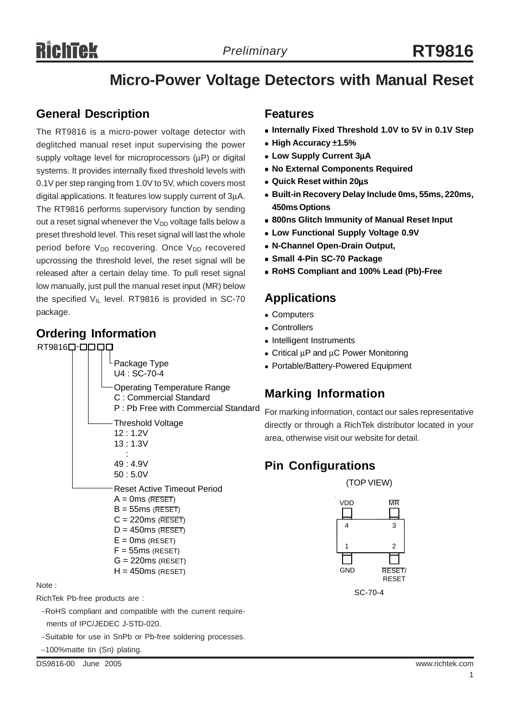# Richtek

# **Micro-Power Voltage Detectors with Manual Reset**

#### **General Description**

The RT9816 is a micro-power voltage detector with deglitched manual reset input supervising the power supply voltage level for microprocessors (μP) or digital systems. It provides internally fixed threshold levels with 0.1V per step ranging from 1.0V to 5V, which covers most digital applications. It features low supply current of 3μA. The RT9816 performs supervisory function by sending out a reset signal whenever the  $V_{DD}$  voltage falls below a preset threshold level. This reset signal will last the whole period before V<sub>DD</sub> recovering. Once V<sub>DD</sub> recovered upcrossing the threshold level, the reset signal will be released after a certain delay time. To pull reset signal low manually, just pull the manual reset input (MR) below the specified  $V_{IL}$  level. RT9816 is provided in SC-70 package.

### **Ordering Information**

RT9816<sup>-</sup>



Note :

- RichTek Pb-free products are :
	- −RoHS compliant and compatible with the current require ments of IPC/JEDEC J-STD-020.
- −Suitable for use in SnPb or Pb-free soldering processes.

−100%matte tin (Sn) plating.

DS9816-00 June 2005 www.richtek.com

#### **Features**

- Internally Fixed Threshold 1.0V to 5V in 0.1V Step
- <sup>z</sup> **High Accuracy** ±**1.5%**
- <sup>z</sup> **Low Supply Current 3**μ**A**
- **No External Components Required**
- <sup>z</sup> **Quick Reset within 20**μ**s**
- <sup>z</sup> **Built-in Recovery Delay Include 0ms, 55ms, 220ms, 450ms Options**
- **800ns Glitch Immunity of Manual Reset Input**
- **Low Functional Supply Voltage 0.9V**
- <sup>z</sup> **N-Channel Open-Drain Output,**
- <sup>z</sup> **Small 4-Pin SC-70 Package**
- <sup>z</sup> **RoHS Compliant and 100% Lead (Pb)-Free**

#### **Applications**

- Computers
- Controllers
- Intelligent Instruments
- Critical  $\mu$ P and  $\mu$ C Power Monitoring
- Portable/Battery-Powered Equipment

## **Marking Information**

For marking information, contact our sales representative directly or through a RichTek distributor located in your area, otherwise visit our website for detail.

## **Pin Configurations**

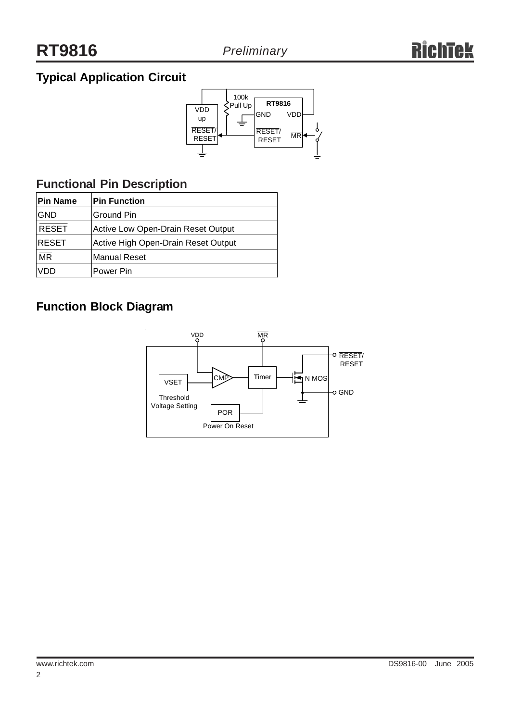## **Typical Application Circuit**



## **Functional Pin Description**

| <b>Pin Name</b>          | <b>Pin Function</b>                 |
|--------------------------|-------------------------------------|
| <b>GND</b>               | Ground Pin                          |
| <b>RESET</b>             | Active Low Open-Drain Reset Output  |
| <b>RESET</b>             | Active High Open-Drain Reset Output |
| $\overline{\mathsf{MR}}$ | <b>Manual Reset</b>                 |
| VDD                      | Power Pin                           |

## **Function Block Diagram**

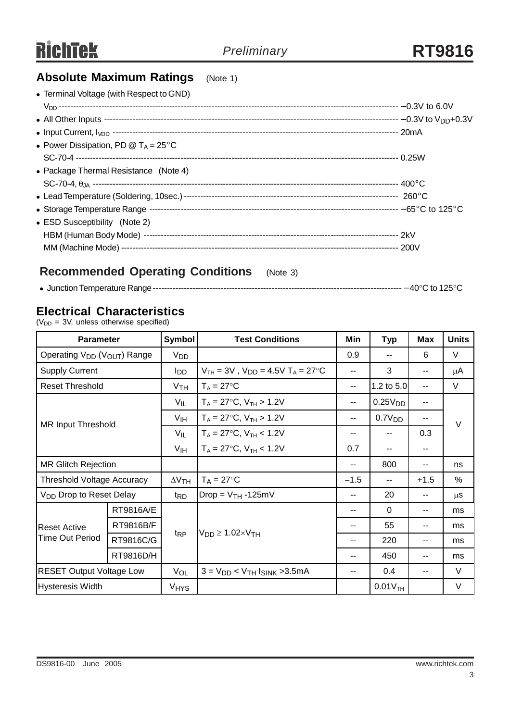#### **Absolute Maximum Ratings** (Note 1)

| • Terminal Voltage (with Respect to GND)           |  |
|----------------------------------------------------|--|
|                                                    |  |
|                                                    |  |
|                                                    |  |
| • Power Dissipation, PD $@$ T <sub>A</sub> = 25 °C |  |
|                                                    |  |
| • Package Thermal Resistance (Note 4)              |  |
|                                                    |  |
|                                                    |  |
|                                                    |  |
| • ESD Susceptibility (Note 2)                      |  |
|                                                    |  |
|                                                    |  |
|                                                    |  |

## **Recommended Operating Conditions** (Note 3)

|--|--|--|--|--|

#### **Electrical Characteristics**

 $(V<sub>DD</sub> = 3V,$  unless otherwise specified)

| <b>Parameter</b>                                    |           | Symbol                 | <b>Test Conditions</b>                                             | Min    | <b>Typ</b>            | <b>Max</b> | <b>Units</b> |  |
|-----------------------------------------------------|-----------|------------------------|--------------------------------------------------------------------|--------|-----------------------|------------|--------------|--|
| Operating V <sub>DD</sub> (V <sub>OUT</sub> ) Range |           | V <sub>DD</sub>        |                                                                    | 0.9    | $-$                   | 6          | V            |  |
| <b>Supply Current</b>                               |           | <b>I</b> DD            | $V_{TH} = 3V$ , $V_{DD} = 4.5V$ T <sub>A</sub> = 27 <sup>o</sup> C | --     | 3                     | --         | $\mu$ A      |  |
| <b>Reset Threshold</b>                              |           | V <sub>TH</sub>        | $T_A = 27$ °C                                                      | --     | 1.2 to 5.0            | --         | V            |  |
| <b>MR Input Threshold</b>                           |           | $V_{IL}$               | $T_A = 27$ °C, $V_{TH} > 1.2V$                                     | --     | 0.25V <sub>DD</sub>   | --         |              |  |
|                                                     |           | V <sub>IH</sub>        | $T_A = 27$ °C, $V_{TH} > 1.2 V$                                    |        | 0.7V <sub>DD</sub>    |            | $\vee$       |  |
|                                                     |           | V <sub>IL</sub>        | $T_A = 27$ °C, V <sub>TH</sub> < 1.2V                              |        | $-$                   | 0.3        |              |  |
|                                                     |           | V <sub>IH</sub>        | $T_A = 27$ °C, V <sub>TH</sub> < 1.2V                              | 0.7    | $-$                   | --         |              |  |
| <b>MR Glitch Rejection</b>                          |           |                        |                                                                    |        | 800                   | --         | ns           |  |
| <b>Threshold Voltage Accuracy</b>                   |           | $\Delta V$ TH          | $T_A = 27$ °C                                                      | $-1.5$ | $-$                   | $+1.5$     | $\%$         |  |
| V <sub>DD</sub> Drop to Reset Delay                 |           | t <sub>RD</sub>        | $Drop = V_{TH} - 125mV$                                            | --     | 20                    | --         | μS           |  |
| <b>Reset Active</b><br><b>Time Out Period</b>       | RT9816A/E |                        | $V_{DD} \ge 1.02 \times V_{TH}$                                    |        | $\Omega$              | --         | ms           |  |
|                                                     | RT9816B/F |                        |                                                                    |        | 55                    | --         | ms           |  |
|                                                     | RT9816C/G | t <sub>RP</sub>        |                                                                    | --     | 220                   | --         | ms           |  |
|                                                     | RT9816D/H |                        |                                                                    |        | 450                   | --         | ms           |  |
| <b>RESET Output Voltage Low</b>                     |           | VOL                    | $3 = V_{DD}$ < $V_{TH}$ Ising > 3.5mA                              |        | 0.4                   | --         | $\vee$       |  |
| Hysteresis Width                                    |           | <b>V<sub>HYS</sub></b> |                                                                    |        | $0.01V$ <sub>TH</sub> |            | $\vee$       |  |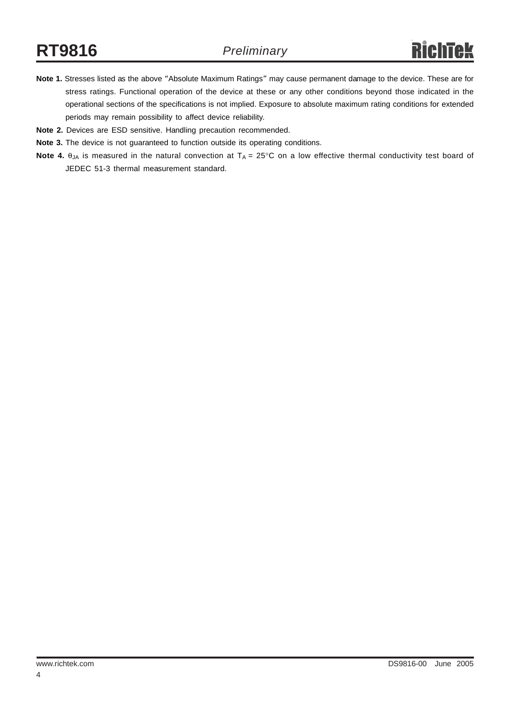- **Note 1.** Stresses listed as the above "Absolute Maximum Ratings" may cause permanent damage to the device. These are for stress ratings. Functional operation of the device at these or any other conditions beyond those indicated in the operational sections of the specifications is not implied. Exposure to absolute maximum rating conditions for extended periods may remain possibility to affect device reliability.
- **Note 2.** Devices are ESD sensitive. Handling precaution recommended.
- **Note 3.** The device is not guaranteed to function outside its operating conditions.
- **Note 4.** θ<sub>JA</sub> is measured in the natural convection at T<sub>A</sub> = 25°C on a low effective thermal conductivity test board of JEDEC 51-3 thermal measurement standard.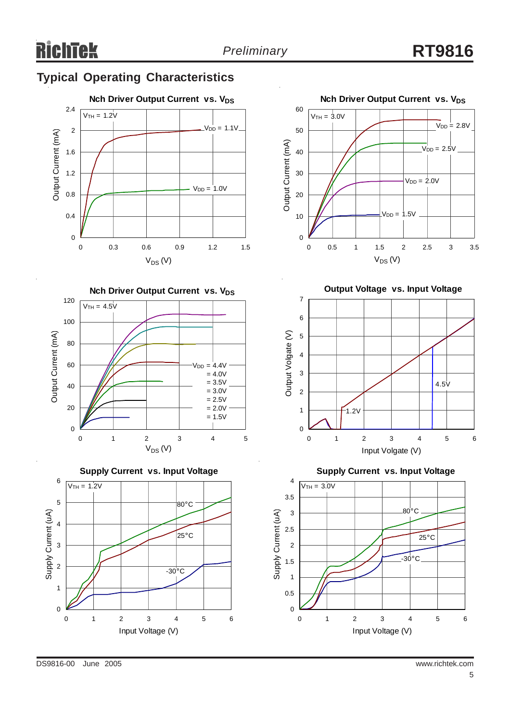# **Typical Operating Characteristics**











**Output Voltage vs. Input Voltage**



**Supply Current vs. Input Voltage**

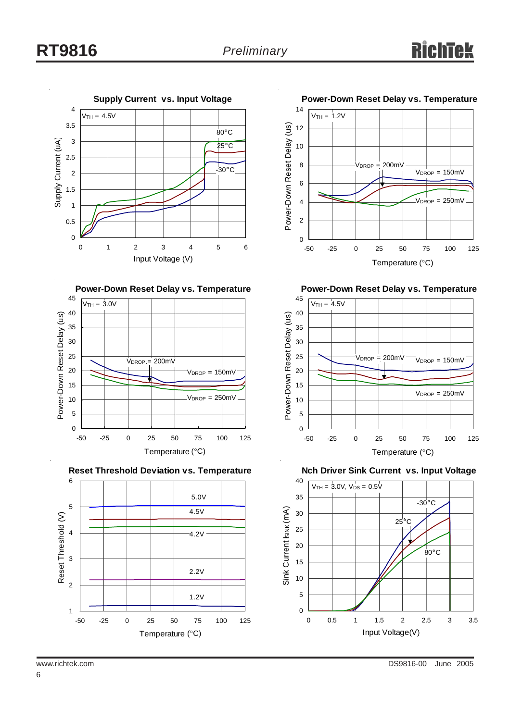











**Power-Down Reset Delay vs. Temperature**



**Nch Driver Sink Current vs. Input Voltage**

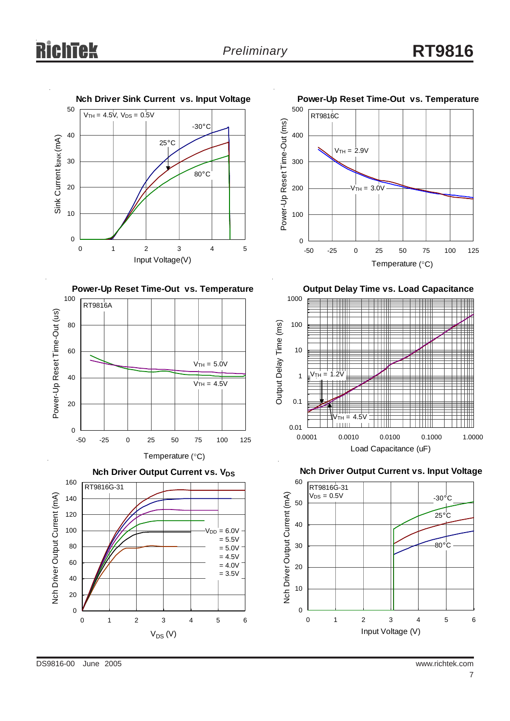











**Output Delay Time vs. Load Capacitance**



**Nch Driver Output Current vs. Input Voltage**



DS9816-00 June 2005 www.richtek.com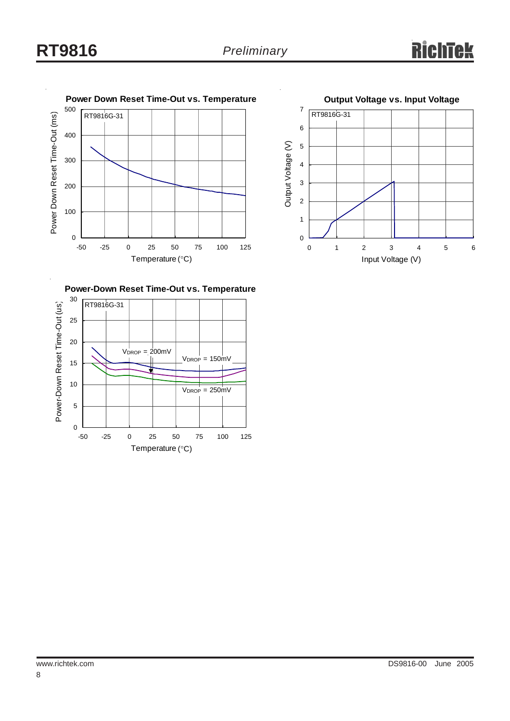



**Power-Down Reset Time-Out vs. Temperature**

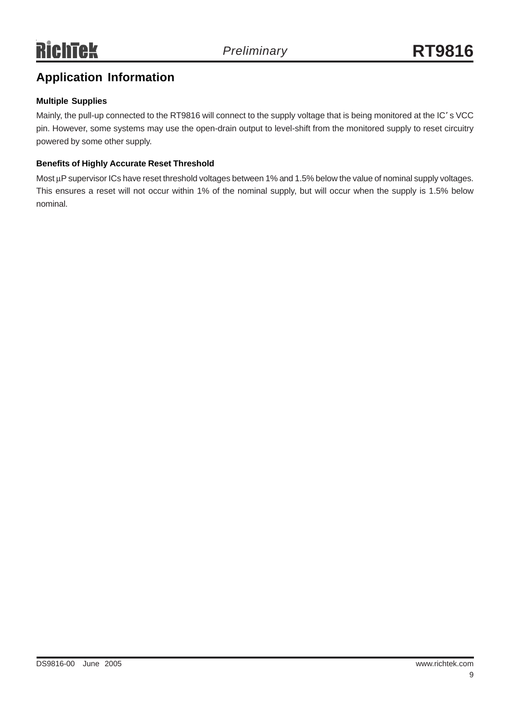# **Application Information**

#### **Multiple Supplies**

Mainly, the pull-up connected to the RT9816 will connect to the supply voltage that is being monitored at the IC' s VCC pin. However, some systems may use the open-drain output to level-shift from the monitored supply to reset circuitry powered by some other supply.

#### **Benefits of Highly Accurate Reset Threshold**

Most μP supervisor ICs have reset threshold voltages between 1% and 1.5% below the value of nominal supply voltages. This ensures a reset will not occur within 1% of the nominal supply, but will occur when the supply is 1.5% below nominal.